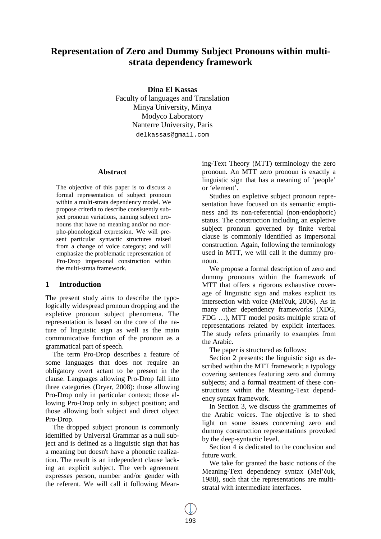# **Representation of Zero and Dummy Subject Pronouns within multistrata dependency framework**

**Dina El Kassas** 

Faculty of languages and Translation Minya University, Minya Modyco Laboratory Nanterre University, Paris delkassas@gmail.com

#### **Abstract**

The objective of this paper is to discuss a formal representation of subject pronoun within a multi-strata dependency model. We propose criteria to describe consistently subject pronoun variations, naming subject pronouns that have no meaning and/or no morpho-phonological expression. We will present particular syntactic structures raised from a change of voice category; and will emphasize the problematic representation of Pro-Drop impersonal construction within the multi-strata framework.

## **1 Introduction**

The present study aims to describe the typologically widespread pronoun dropping and the expletive pronoun subject phenomena. The representation is based on the core of the nature of linguistic sign as well as the main communicative function of the pronoun as a grammatical part of speech.

The term Pro-Drop describes a feature of some languages that does not require an obligatory overt actant to be present in the clause. Languages allowing Pro-Drop fall into three categories (Dryer, 2008): those allowing Pro-Drop only in particular context; those allowing Pro-Drop only in subject position; and those allowing both subject and direct object Pro-Drop.

The dropped subject pronoun is commonly identified by Universal Grammar as a null subject and is defined as a linguistic sign that has a meaning but doesn't have a phonetic realization. The result is an independent clause lacking an explicit subject. The verb agreement expresses person, number and/or gender with the referent. We will call it following Meaning-Text Theory (MTT) terminology the zero pronoun. An MTT zero pronoun is exactly a linguistic sign that has a meaning of 'people' or 'element'.

Studies on expletive subject pronoun representation have focused on its semantic emptiness and its non-referential (non-endophoric) status. The construction including an expletive subject pronoun governed by finite verbal clause is commonly identified as impersonal construction. Again, following the terminology used in MTT, we will call it the dummy pronoun.

We propose a formal description of zero and dummy pronouns within the framework of MTT that offers a rigorous exhaustive coverage of linguistic sign and makes explicit its intersection with voice (Mel'čuk, 2006). As in many other dependency frameworks (XDG, FDG …), MTT model posits multiple strata of representations related by explicit interfaces. The study refers primarily to examples from the Arabic.

The paper is structured as follows:

Section 2 presents: the linguistic sign as described within the MTT framework; a typology covering sentences featuring zero and dummy subjects; and a formal treatment of these constructions within the Meaning-Text dependency syntax framework.

In Section 3, we discuss the grammemes of the Arabic voices. The objective is to shed light on some issues concerning zero and dummy construction representations provoked by the deep-syntactic level.

Section 4 is dedicated to the conclusion and future work.

We take for granted the basic notions of the Meaning-Text dependency syntax (Mel'čuk, 1988), such that the representations are multistratal with intermediate interfaces.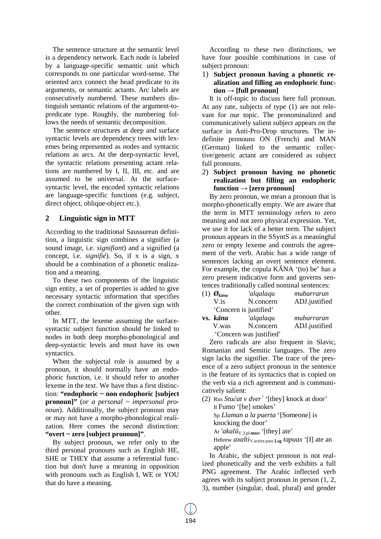The sentence structure at the semantic level is a dependency network. Each node is labeled by a language-specific semantic unit which corresponds to one particular word-sense. The oriented arcs connect the head predicate to its arguments, or semantic actants. Arc labels are consecutively numbered. These numbers distinguish semantic relations of the argument-topredicate type. Roughly, the numbering follows the needs of semantic decomposition.

The sentence structures at deep and surface syntactic levels are dependency trees with lexemes being represented as nodes and syntactic relations as arcs. At the deep-syntactic level, the syntactic relations presenting actant relations are numbered by I, II, III, etc. and are assumed to be universal. At the surfacesyntactic level, the encoded syntactic relations are language-specific functions (e.g. subject, direct object, oblique-object etc.).

# **2 Linguistic sign in MTT**

According to the traditional Saussurean definition, a linguistic sign combines a signifier (a sound image, i.e. *signifiant*) and a signified (a concept, i.e. *signifié*). So, if x is a sign, x should be a combination of a phonetic realization and a meaning.

To these two components of the linguistic sign entity, a set of properties is added to give necessary syntactic information that specifies the correct combination of the given sign with other.

In MTT, the lexeme assuming the surfacesyntactic subject function should be linked to nodes in both deep morpho-phonological and deep-syntactic levels and must have its own syntactics.

When the subjectal role is assumed by a pronoun, it should normally have an endophoric function, i.e. it should refer to another lexeme in the text. We have thus a first distinction: **"endophoric ~ non endophoric [subject pronoun]"** (*or a personal ~ impersonal pronoun*). Additionally, the subject pronoun may or may not have a morpho-phonological realization. Here comes the second distinction: **"overt ~ zero [subject pronoun]"**.

By subject pronoun, we refer only to the third personal pronouns such as English HE, SHE or THEY that assume a referential function but don't have a meaning in opposition with pronouns such as English I, WE or YOU that do have a meaning.

According to these two distinctions, we have four possible combinations in case of subject pronoun:

## 1) **Subject pronoun having a phonetic realization and filling an endophoric func-** $\text{tion} \rightarrow \text{[full pronoun]}$

It is off-topic to discuss here full pronoun. At any rate, subjects of type (1) are not relevant for our topic. The pronominalized and communicatively salient subject appears on the surface in Anti-Pro-Drop structures. The indefinite pronouns ON (French) and MAN (German) linked to the semantic collective/generic actant are considered as subject full pronouns.

## 2) **Subject pronoun having no phonetic realization but filling an endophoric**   $function \rightarrow [zero \, pronoun]$

By zero pronoun, we mean a pronoun that is morpho-phonetically empty. We are aware that the term in MTT terminology refers to zero meaning and not zero physical expression. Yet, we use it for lack of a better term. The subject pronoun appears in the SSyntS as a meaningful zero or empty lexeme and controls the agreement of the verb. Arabic has a wide range of sentences lacking an overt sentence element. For example, the copula KĀNA '(to) be' has a zero present indicative form and governs sentences traditionally called nominal sentences:

| $(1)$ $\mathcal{O}_{k\bar{a}na}$ | 'alqalaqu               | mubarrarun    |
|----------------------------------|-------------------------|---------------|
| V is                             | N.concern               | ADJ.justified |
|                                  | 'Concern is justified'  |               |
| vs. kāna                         | 'algalagu               | mubarraran    |
| V.was                            | N.concern               | ADJ.justified |
|                                  | 'Concern was justified' |               |

Zero radicals are also frequent in Slavic, Romanian and Semitic languages. The zero sign lacks the signifier. The trace of the presence of a zero subject pronoun in the sentence is the feature of its syntactics that is copied on the verb via a rich agreement and is communicatively salient:

(2) Rus *Stučat v dver´* '[they] knock at door' It Fumo '[he] smokes' Sp *Llaman a la puerta* '[Someone] is knocking the door' Ar '*akalū*V.3.pl.*masc* '[they] ate' Hebrew *axaltiv*<sub>.active.past.1.sg *tapuax* '[I] ate an</sub> apple'

In Arabic, the subject pronoun is not realized phonetically and the verb exhibits a full PNG agreement. The Arabic inflected verb agrees with its subject pronoun in person (1, 2, 3), number (singular, dual, plural) and gender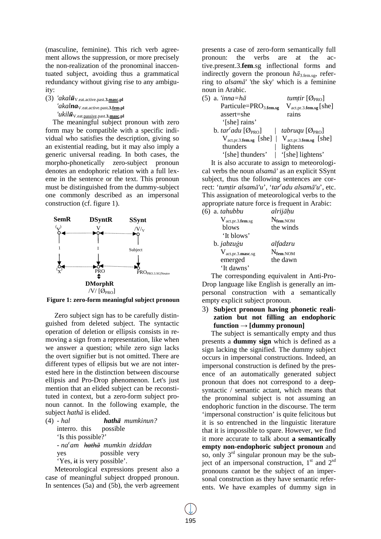(masculine, feminine). This rich verb agreement allows the suppression, or more precisely the non-realization of the pronominal inaccentuated subject, avoiding thus a grammatical redundancy without giving rise to any ambiguity:

(3) *'akalū*V.eat.active.past.**3.masc.pl** *'akalna*V.eat.active.past**.3.fem.pl** *'ukilū*V.eat.passive.past.**3.masc.pl**

The meaningful subject pronoun with zero form may be compatible with a specific individual who satisfies the description, giving so an existential reading, but it may also imply a generic universal reading. In both cases, the morpho-phonetically zero-subject pronoun denotes an endophoric relation with a full lexeme in the sentence or the text. This pronoun must be distinguished from the dummy-subject one commonly described as an impersonal construction (cf. figure 1).



**Figure 1: zero-form meaningful subject pronoun**

Zero subject sign has to be carefully distinguished from deleted subject. The syntactic operation of deletion or ellipsis consists in removing a sign from a representation, like when we answer a question; while zero sign lacks the overt signifier but is not omitted. There are different types of ellipsis but we are not interested here in the distinction between discourse ellipsis and Pro-Drop phenomenon. Let's just mention that an elided subject can be reconstituted in context, but a zero-form subject pronoun cannot. In the following example, the subject *hathā* is elided.

| $(4)$ - hal                 | <b>hatha</b> mumkinun?                               |
|-----------------------------|------------------------------------------------------|
| interro. this possible      |                                                      |
| 'Is this possible?'         |                                                      |
|                             | - na <sup>c</sup> am <del>hathā</del> mumkin dziddan |
| yes                         | possible very                                        |
| 'Yes, it is very possible'. |                                                      |

Meteorological expressions present also a case of meaningful subject dropped pronoun. In sentences (5a) and (5b), the verb agreement presents a case of zero-form semantically full pronoun: the verbs are at the active.present.3.**fem**.sg inflectional forms and indirectly govern the pronoun  $h\bar{a}_{3,\text{fem},sg}$ , referring to *alsamā'* 'the sky' which is a feminine noun in Arabic.

| $(5)$ a. 'inna=h $\bar{a}$                                                        | tumtir $[\emptyset_{\text{PRO}}]$ |
|-----------------------------------------------------------------------------------|-----------------------------------|
| Particule=PRO <sub>3.fem.sg</sub>                                                 | $V_{act, pr. 3. fem. sg} [she]$   |
| assert=she                                                                        | rains                             |
| '[she] rains'                                                                     |                                   |
| b. tar <sup>c</sup> adu [ $\mathcal{O}_{PRO}$ ]   tabruqu [ $\mathcal{O}_{PRO}$ ] |                                   |
| $V_{act, pr.3. fem.sg}$ [she]   $V_{act, pr.3. fem.sg}$ [she]                     |                                   |
| thunders                                                                          | lightens                          |
| '[she] thunders'   '[she] lightens'                                               |                                   |

It is also accurate to assign to meteorological verbs the noun *alsamā'* as an explicit SSynt subject, thus the following sentences are correct: '*tumtir alsamā'u*', '*tar<sup>c</sup> adu alsamā'u*', etc. This assignation of meteorological verbs to the appropriate nature force is frequent in Arabic:

| $(6)$ a. tahubbu                     | alrijāķu             |
|--------------------------------------|----------------------|
| $V_{\text{act.pr.3.fem.sg}}$         | $N_{\text{fem.}NOM}$ |
| blows                                | the winds            |
| 'It blows'                           |                      |
| b. jabzuģu                           | alfadzru             |
| $V_{\text{act.pr.3}.\text{masc.sg}}$ | $N_{\text{fem.}NOM}$ |
| emerged                              | the dawn             |
| 'It dawns'                           |                      |

The corresponding equivalent in Anti-Pro-Drop language like English is generally an impersonal construction with a semantically empty explicit subject pronoun.

3) **Subject pronoun having phonetic realization but not filling an endophoric function → [dummy pronoun]** 

The subject is semantically empty and thus presents a **dummy sign** which is defined as a sign lacking the signified. The dummy subject occurs in impersonal constructions. Indeed, an impersonal construction is defined by the presence of an automatically generated subject pronoun that does not correspond to a deepsyntactic / semantic actant, which means that the pronominal subject is not assuming an endophoric function in the discourse. The term 'impersonal construction' is quite felicitous but it is so entrenched in the linguistic literature that it is impossible to spare. However, we find it more accurate to talk about **a semantically empty non-endophoric subject pronoun** and so, only  $3<sup>rd</sup>$  singular pronoun may be the subject of an impersonal construction,  $1<sup>st</sup>$  and  $2<sup>sd</sup>$ pronouns cannot be the subject of an impersonal construction as they have semantic referents. We have examples of dummy sign in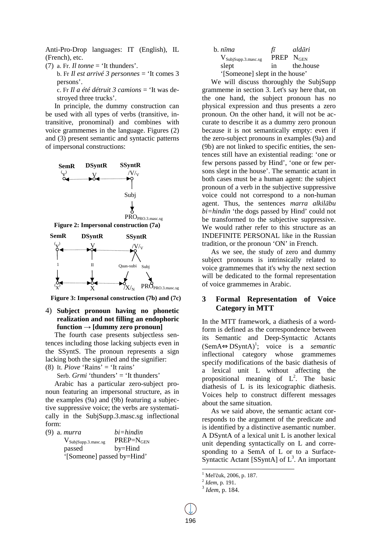Anti-Pro-Drop languages: IT (English), IL (French), etc.

(7) a. Fr.  $Il$  tonne  $=$  'It thunders'.

b. Fr *Il est arrivé 3 personnes* = 'It comes 3 persons'.

c. Fr *Il a été détruit 3 camions* = 'It was destroyed three trucks'.

In principle, the dummy construction can be used with all types of verbs (transitive, intransitive, pronominal) and combines with voice grammemes in the language. Figures (2) and (3) present semantic and syntactic patterns of impersonal constructions:







4) **Subject pronoun having no phonetic realization and not filling an endophoric function → [dummy zero pronoun]** 

The fourth case presents subjectless sentences including those lacking subjects even in the SSyntS. The pronoun represents a sign lacking both the signified and the signifier: (8) It. *Piove* 'Rains' = 'It rains'

Serb. *Grmi* 'thunders' = 'It thunders'

Arabic has a particular zero-subject pronoun featuring an impersonal structure, as in the examples (9a) and (9b) featuring a subjective suppressive voice; the verbs are systematically in the SubjSupp.3.masc.sg inflectional form:

(9) a. *murra bi=hindin*  $V_{SubjSupp.3.\text{masc.sg}}$  PREP= $N_{GEN}$ passed by=Hind

'[Someone] passed by=Hind'

| b. nīma                         | fī                    | aldāri    |
|---------------------------------|-----------------------|-----------|
| $V_{SubjSupp.3.\text{masc.sg}}$ | <b>PREP</b> $N_{GEN}$ |           |
| slept                           | in                    | the house |
| '[Someone] slept in the house'  |                       |           |

We will discuss thoroughly the SubiSupp grammeme in section 3. Let's say here that, on the one hand, the subject pronoun has no physical expression and thus presents a zero pronoun. On the other hand, it will not be accurate to describe it as a dummy zero pronoun because it is not semantically empty: even if the zero-subject pronouns in examples (9a) and (9b) are not linked to specific entities, the sentences still have an existential reading: 'one or few persons passed by Hind', 'one or few persons slept in the house'. The semantic actant in both cases must be a human agent: the subject pronoun of a verb in the subjective suppressive voice could not correspond to a non-human agent. Thus, the sentences *marra alkilābu bi=hindin* 'the dogs passed by Hind' could not be transformed to the subjective suppressive. We would rather refer to this structure as an INDEFINITE PERSONAL like in the Russian tradition, or the pronoun 'ON' in French.

As we see, the study of zero and dummy subject pronouns is intrinsically related to voice grammemes that it's why the next section will be dedicated to the formal representation of voice grammemes in Arabic.

# **3 Formal Representation of Voice Category in MTT**

In the MTT framework, a diathesis of a wordform is defined as the correspondence between its Semantic and Deep-Syntactic Actants (SemA⇔DSyntA)<sup>1</sup> ; voice is a *semantic* inflectional category whose grammemes specify modifications of the basic diathesis of a lexical unit L without affecting the propositional meaning of  $L^2$ . The basic diathesis of L is its lexicographic diathesis. Voices help to construct different messages about the same situation.

As we said above, the semantic actant corresponds to the argument of the predicate and is identified by a distinctive asemantic number. A DSyntA of a lexical unit L is another lexical unit depending syntactically on L and corresponding to a SemA of L or to a Surface-Syntactic Actant [SSyntA] of  $L^3$ . An important

 1 Mel'čuk, 2006, p. 187.

<sup>2</sup> *Idem*, p. 191.

<sup>3</sup> *Idem*, p. 184.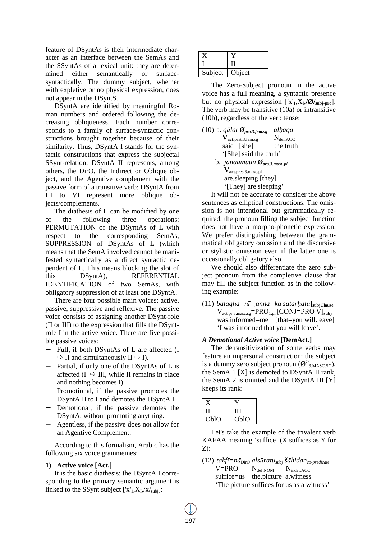feature of DSyntAs is their intermediate character as an interface between the SemAs and the SSyntAs of a lexical unit: they are determined either semantically or surfacesyntactically. The dummy subject, whether with expletive or no physical expression, does not appear in the DSyntS.

DSyntA are identified by meaningful Roman numbers and ordered following the decreasing obliqueness. Each number corresponds to a family of surface-syntactic constructions brought together because of their similarity. Thus, DSyntA I stands for the syntactic constructions that express the subjectal SSynt-relation; DSyntA II represents, among others, the DirO, the Indirect or Oblique object, and the Agentive complement with the passive form of a transitive verb; DSyntA from III to VI represent more oblique objects/complements.

The diathesis of L can be modified by one of the following three operations: PERMUTATION of the DSyntAs of L with respect to the corresponding SemAs, SUPPRESSION of DSyntAs of L (which means that the SemA involved cannot be manifested syntactically as a direct syntactic dependent of L. This means blocking the slot of this DSyntA), REFERENTIAL IDENTIFICATION of two SemAs, with obligatory suppression of at least one DSyntA.

There are four possible main voices: active, passive, suppressive and reflexive. The passive voice consists of assigning another DSynt-role (II or III) to the expression that fills the DSyntrole I in the active voice. There are five possible passive voices:

- Full, if both DSyntAs of L are affected (I  $\Rightarrow$  II and simultaneously II  $\Rightarrow$  I).
- Partial, if only one of the DSyntAs of L is affected ( $I \Rightarrow III$ , while II remains in place and nothing becomes I).
- Promotional, if the passive promotes the DSyntA II to I and demotes the DSyntA I.
- Demotional, if the passive demotes the DSyntA, without promoting anything.
- − Agentless, if the passive does not allow for an Agentive Complement.

According to this formalism, Arabic has the following six voice grammemes:

#### **1) Active voice [Act.]**

It is the basic diathesis: the DSyntA I corresponding to the primary semantic argument is linked to the SSynt subject  $[x'_1, X_I, (x'_s, x'_s)]$ :

| Subject | Object |
|---------|--------|

The Zero-Subject pronoun in the active voice has a full meaning, a syntactic presence but no physical expression  $[x_1, X_L / \mathcal{O}/_{\text{subj-pro}}]$ . The verb may be transitive (10a) or intransitive (10b), regardless of the verb tense:

(10) a. *qālat Øpro.3.fem.sg alhaqa*  $V_{\text{act.past.3.fem.sg}}$  N<sub>def.ACC</sub> said [she] the truth '[She] said the truth' b. *janaamuun Øpro.3.masc.pl* **Vact**.pres.3.masc.pl are.sleeping [they] '[They] are sleeping'

It will not be accurate to consider the above sentences as elliptical constructions. The omission is not intentional but grammatically required: the pronoun filling the subject function does not have a morpho-phonetic expression. We prefer distinguishing between the grammatical obligatory omission and the discursive or stylistic omission even if the latter one is occasionally obligatory also.

We should also differentiate the zero subject pronoun from the completive clause that may fill the subject function as in the following example:

(11) *balagha=nī* [*anna=ka satarhalu*]**subjClause** Vact.pr.3.masc.sg=PRO1.pl [CONJ=PRO V]**subj** was.informed=me [that=you will.leave] 'I was informed that you will leave'.

#### *A Demotional Active voice* **[DemAct.]**

The detransitivization of some verbs may feature an impersonal construction: the subject is a dummy zero subject pronoun ( $\mathcal{O}^{\emptyset}$ <sub>3.MASC.SG</sub>), the SemA 1 [X] is demoted to DSyntA II rank, the SemA 2 is omitted and the DSyntA III [Y] keeps its rank:

|      | ш    |
|------|------|
| OblO | OblO |

Let's take the example of the trivalent verb KAFAA meaning 'suffice' (X suffices as Y for Z):

(12) *takfī=nā*DirO *alsūratu*subj *šāhidanco-predicate*  $V=PRO$   $N_{\text{def,NOM}}$   $N_{\text{indef,ACC}}$  suffice=us the.picture a.witness 'The picture suffices for us as a witness'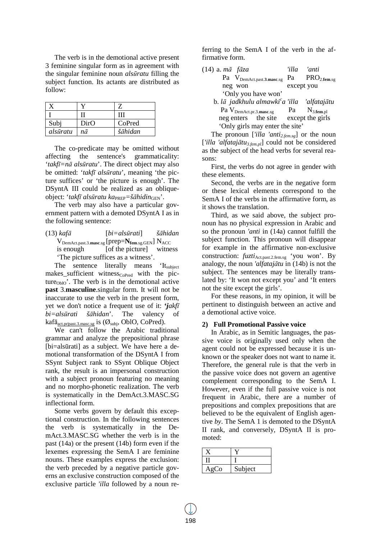The verb is in the demotional active present 3 feminine singular form as in agreement with the singular feminine noun *alsūratu* filling the subject function. Its actants are distributed as follow:

| Subj     | DirO | CoPred  |
|----------|------|---------|
| alsūratu | na   | šāhidan |

The co-predicate may be omitted without affecting the sentence's grammaticality: '*takfī=nā alsūratu*'. The direct object may also be omitted: '*takfī alsūratu*', meaning 'the picture suffices' or 'the picture is enough'. The DSyntA III could be realized as an obliqueobject: '*takfī alsūratu ka*PREP*=šāhidin*GEN'.

The verb may also have a particular government pattern with a demoted DSyntA I as in the following sentence:

(13) *kafā* [*bi=alsūrati*] *šāhidan*  $V_{\text{DemAct.past.3.masc.sg}}$  [ $\text{prep=}\mathbf{N}_{\text{fem.sg.GEN}}$ ]  $N_{\text{ACC}}$ is enough [of the picture] witness 'The picture suffices as a witness'.

The sentence literally means 'It<sub>subject</sub>  $makes\_sufficient \t witness<sub>CoPred</sub> \t with the pic$ ture $_{\text{Oblo}}$ . The verb is in the demotional active **past** 3.**masculine**.singular form. It will not be inaccurate to use the verb in the present form, yet we don't notice a frequent use of it: **'***jakfī bi=alsūrati šāhidan*'. The valency of kaf $\bar{a}_{act, pr| past.3 \text{ }mass. sg}$  is  $(\emptyset_{subi}, ObIO, CoPred).$ 

We can't follow the Arabic traditional grammar and analyze the prepositional phrase [bi=alsūrati] as a subject. We have here a demotional transformation of the DSyntA I from SSynt Subject rank to SSynt Oblique Object rank, the result is an impersonal construction with a subject pronoun featuring no meaning and no morpho-phonetic realization. The verb is systematically in the DemAct.3.MASC.SG inflectional form.

Some verbs govern by default this exceptional construction. In the following sentences the verb is systematically in the DemAct.3.MASC.SG whether the verb is in the past (14a) or the present (14b) form even if the lexemes expressing the SemA I are feminine nouns. These examples express the exclusion: the verb preceded by a negative particle governs an exclusive construction composed of the exclusive particle *'illa* followed by a noun referring to the SemA I of the verb in the affirmative form.

| (14) a. mā fāza                                     | 'illa      | 'anti |
|-----------------------------------------------------|------------|-------|
| Pa $V_{DemAct, past.3,masc.sg}$ Pa $PRO_{2.5em.sg}$ |            |       |
| neg won                                             | except you |       |
| 'Only you have won'                                 |            |       |
| 1. I = $\cdot$ III I I I I I C III II II II $\cdot$ |            |       |

| b. lā jadkhulu almawki <sup>c</sup> a 'illa |    | 'alfatajātu        |
|---------------------------------------------|----|--------------------|
| Pa V <sub>DemAct.pr.3.masc.sg</sub>         | Pa | $\rm N_{3.5em.pl}$ |
| neg enters the site                         |    | except the girls   |
| 'Only girls may enter the site'             |    |                    |

The pronoun [*'illa 'anti2.fem.sg*] or the noun [*'illa 'alfatajātu3.fem.pl*] could not be considered as the subject of the head verbs for several reasons:

First, the verbs do not agree in gender with these elements.

Second, the verbs are in the negative form or these lexical elements correspond to the SemA I of the verbs in the affirmative form, as it shows the translation.

Third, as we said above, the subject pronoun has no physical expression in Arabic and so the pronoun *'anti* in (14a) cannot fulfill the subject function. This pronoun will disappear for example in the affirmative non-exclusive construction: *fuzti*<sub>Act.past.2.fem.sg</sub> 'you won'. By analogy, the noun *'alfatajātu* in (14b) is not the subject. The sentences may be literally translated by: 'It won not except you' and 'It enters not the site except the girls'.

For these reasons, in my opinion, it will be pertinent to distinguish between an active and a demotional active voice.

#### **2) Full Promotional Passive voice**

In Arabic, as in Semitic languages, the passive voice is originally used only when the agent could not be expressed because it is unknown or the speaker does not want to name it. Therefore, the general rule is that the verb in the passive voice does not govern an agentive complement corresponding to the SemA I. However, even if the full passive voice is not frequent in Arabic, there are a number of prepositions and complex prepositions that are believed to be the equivalent of English agentive *by*. The SemA 1 is demoted to the DSyntA II rank, and conversely, DSyntA II is promoted:

| Сo | Subject |
|----|---------|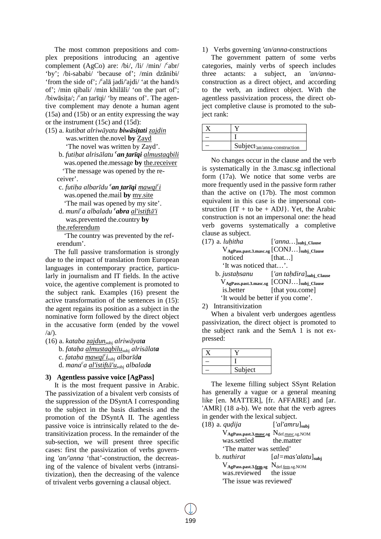The most common prepositions and complex prepositions introducing an agentive complement (AgCo) are: /bi/, /li/ /min/ /°abr/ 'by'; /bi-sababi/ 'because of'; /min dzānibi/ 'from the side of';  $\ell$ alā jadi/'ajdi/' at the hand/s of'; /min qibali/ /min khilāli/ 'on the part of'; /biwāsita/;  $\sqrt{2}$  an tarīqi/ 'by means of'. The agentive complement may denote a human agent (15a) and (15b) or an entity expressing the way or the instrument (15c) and (15d):

- (15) a. *kutibat alriwāyatu biwāsitati zajdin* was.written the.novel **by** Zayd 'The novel was written by Zayd'.
	- b. *futihat alrisālatu <sup>c</sup> an tarīqi almustaqbili* was.opened the.message **by** the.receiver 'The message was opened by the receiver'.
	- c. *futiha albarīdu <sup>c</sup> an tarīqi mawqi<sup>c</sup> i* was.opened the.mail **by** my.site
	- 'The mail was opened by my site'. d. *muni<sup>c</sup> a albaladu <sup>c</sup> abra al'istiftā'i*
	- was.prevented the.country **by** the.referendum

 'The country was prevented by the referendum'.

The full passive transformation is strongly due to the impact of translation from European languages in contemporary practice, particularly in journalism and IT fields. In the active voice, the agentive complement is promoted to the subject rank. Examples (16) present the active transformation of the sentences in (15): the agent regains its position as a subject in the nominative form followed by the direct object in the accusative form (ended by the vowel  $\langle a \rangle$ .

(16) a. *kataba zajdun*subj *alriwāyata* b. *fataha almustaqbilu*subj *alrisālata*  c. *fataha mawqi<sup>c</sup> i*subj *albarīda* d. *mana c a al'istiftā'u*subj *albalada*

## **3) Agentless passive voice [AgPass]**

It is the most frequent passive in Arabic. The passivization of a bivalent verb consists of the suppression of the DSyntA I corresponding to the subject in the basis diathesis and the promotion of the DSyntA II. The agentless passive voice is intrinsically related to the detransitivization process. In the remainder of the sub-section, we will present three specific cases: first the passivization of verbs governing *'an/'anna* 'that'-construction, the decreasing of the valence of bivalent verbs (intransitivization), then the decreasing of the valence of trivalent verbs governing a clausal object.

1) Verbs governing *'an/anna*-constructions

The government pattern of some verbs categories, mainly verbs of speech includes three actants: a subject, an *'an/anna*construction as a direct object, and according to the verb, an indirect object. With the agentless passivization process, the direct object completive clause is promoted to the subject rank:

| $Subjectan/anna-construction$ |
|-------------------------------|

No changes occur in the clause and the verb is systematically in the 3.masc.sg inflectional form (17a). We notice that some verbs are more frequently used in the passive form rather than the active on (17b). The most common equivalent in this case is the impersonal construction  $\{IT + to be + ADJ\}$ . Yet, the Arabic construction is not an impersonal one: the head verb governs systematically a completive clause as subject.

| $(17)$ a. luhitha                 | $[ 'anna  ]subj_C clause$                                  |
|-----------------------------------|------------------------------------------------------------|
|                                   | $V_{AgPass, past.3,masc.sg}$ [CONJ] <sub>subj_Clause</sub> |
| noticed                           | [that]                                                     |
| 'It was noticed that'.            |                                                            |
|                                   | b. justahsanu $['an tahdira]_{subj\_Clause}$               |
|                                   | $V_{AgPass, past.3,masc.sg}$ [CONJ] <sub>subj_Clause</sub> |
| is.better                         | [that you.come]                                            |
| 'It would be better if you come'. |                                                            |

2) Intransitivization

When a bivalent verb undergoes agentless passivization, the direct object is promoted to the subject rank and the SemA 1 is not expressed:

| Subject |
|---------|

The lexeme filling subject SSynt Relation has generally a vague or a general meaning like [en. MATTER], [fr. AFFAIRE] and [ar. 'AMR] (18 a-b). We note that the verb agrees in gender with the lexical subject.

| $\lceil 'al'amru \rceil_{\text{subi}}$                      |
|-------------------------------------------------------------|
| $\rm V_{AgPass, past.3,masc.sg}$ $\rm N_{def.masc.sg. NOM}$ |
| was.settled the.matter                                      |
| The matter was settled'                                     |
| $[a] = mas' alatu]_{subi}$                                  |
| $\rm V_{AgPass, past.3.1cm,sg}$ $\rm N_{def.1cm,sg. NOM}$   |
| was.reviewed the issue                                      |
| The issue was reviewed'                                     |
|                                                             |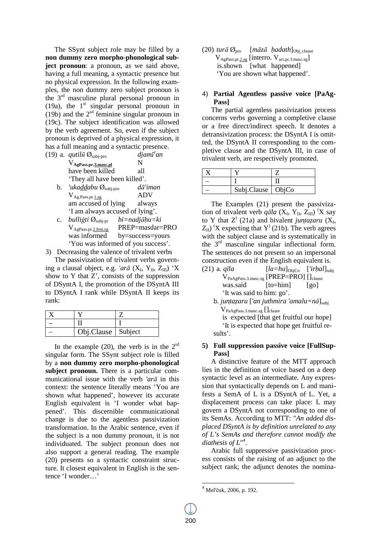The SSynt subject role may be filled by a **non dummy zero morpho-phonological subject pronoun**: a pronoun, as we said above, having a full meaning, a syntactic presence but no physical expression. In the following examples, the non dummy zero subject pronoun is the 3rd masculine plural personal pronoun in (19a), the  $1<sup>st</sup>$  singular personal pronoun in (19b) and the  $2<sup>sd</sup>$  feminine singular pronoun in (19c). The subject identification was allowed by the verb agreement. So, even if the subject pronoun is deprived of a physical expression, it has a full meaning and a syntactic presence.

| (19) a. <i>qutilu</i> $\emptyset_{\text{subi-pro}}$ | $djam\bar{t}$ an |
|-----------------------------------------------------|------------------|
| V <sub>AgPass.pr.3.masc.pl</sub>                    | N                |
| have been killed                                    | all              |
| 'They all have been killed'.                        |                  |
| 'ukaddabu $\emptyset$ <sub>nab</sub> ang            | $d\bar{a}'$ iman |

- $\boldsymbol{\nu}$   $\boldsymbol{\omega}$ <sub>subj-pro</sub>  $V_{Ag.Pass.pr.1.sg}$  ADV am accused of lying always 'I am always accused of lying'.
- c. *bulliāti* Øsubj-pr *bi=nadjāhu=ki*  $V_{AgPass,pr.2.fem.sg}$  PREP=masdar=PRO<br>was informed by=success=vours by=success=yours 'You was informed of you success'.

3) Decreasing the valence of trivalent verbs

The passivization of trivalent verbs governing a clausal object, e.g. *'arā* (X<sub>I</sub>, Y<sub>II</sub>, Z<sub>III</sub>) 'X show to  $Y$  that  $Z'$ , consists of the suppression of DSyntA I, the promotion of the DSyntA III to DSyntA I rank while DSyntA II keeps its rank:

| Obj.Clause   Subject |  |
|----------------------|--|

In the example  $(20)$ , the verb is in the  $2<sup>sd</sup>$ singular form. The SSynt subject role is filled by a **non dummy zero morpho-phonological subject pronoun.** There is a particular communicational issue with the verb *'arā* in this context: the sentence literally means 'You are shown what happened', however its accurate English equivalent is 'I wonder what happened'. This discernible communicational change is due to the agentless passivization transformation. In the Arabic sentence, even if the subject is a non dummy pronoun, it is not individuated. The subject pronoun does not also support a general reading. The example (20) presents so a syntactic constraint structure. It closest equivalent in English is the sentence 'I wonder…'

 $(20)$  *tur* $\bar{a}$   $\emptyset$ <sub>pro</sub> [m $\bar{a}z\bar{a}$  *hadath*]<sub>Obj clause</sub>  $V_{AgPass, pr.2sg}$  [interro.  $V_{act, pr.3.masc.sg}$ ] is.shown [what happened] 'You are shown what happened'.

## 4) **Partial Agentless passive voice [PaAg-Pass]**

The partial agentless passivization process concerns verbs governing a completive clause or a free direct/indirect speech. It denotes a detransivization process: the DSyntA I is omitted, the DSyntA II corresponding to the completive clause and the DSyntA III, in case of trivalent verb, are respectively promoted.

| Subj.Clause   ObjCo |  |
|---------------------|--|

The Examples (21) present the passivization of trivalent verb  $q\bar{a}l\bar{a}$  (X<sub>I</sub>, Y<sub>II</sub>, Z<sub>III</sub>) 'X say to Y that  $Z^{\prime}$  (21a) and bivalent *juntazaru* ( $X_{I}$ ,  $Z_{II}$ ) 'X expecting that Y' (21b). The verb agrees with the subject clause and is systematically in the  $3<sup>rd</sup>$  masculine singular inflectional form. The sentences do not present so an impersonal construction even if the English equivalent is.

| $(21)$ a. $q\bar{u}la$                                     |                                                                   | $[la=hu]_{\text{ObiCo}}$ $['irhal]_{\text{subi}}$ |
|------------------------------------------------------------|-------------------------------------------------------------------|---------------------------------------------------|
|                                                            | $V_{PaAgPass.3 \text{.}mass.sg}$ [PREP=PRO] [] $_{\text{clause}}$ |                                                   |
|                                                            | was.said [to=him]                                                 | $\lceil$ go]                                      |
| 'It was said to him: go'.                                  |                                                                   |                                                   |
| b. juntazaru ['an juthmira 'amalu=nā] $_{subi}$            |                                                                   |                                                   |
| $V_{PaAgPass.3 \text{.} \text{masc.} \text{sg}}$ [] clause |                                                                   |                                                   |

 is expected [that get fruitful our hope] 'It is expected that hope get fruitful results'.

## **5) Full suppression passive voice [FullSup-Pass]**

A distinctive feature of the MTT approach lies in the definition of voice based on a deep syntactic level as an intermediate. Any expression that syntactically depends on L and manifests a SemA of L is a DSyntA of L. Yet, a displacement process can take place: L may govern a DSyntA not corresponding to one of its SemAs. According to MTT: "*An added displaced DSyntA is by definition unrelated to any of L's SemAs and therefore cannot modify the diathesis of L*" 4 .

Arabic full suppressive passivization process consists of the raising of an adjunct to the subject rank; the adjunct denotes the nomina-

-

<sup>4</sup> Mel'čuk, 2006, p. 192.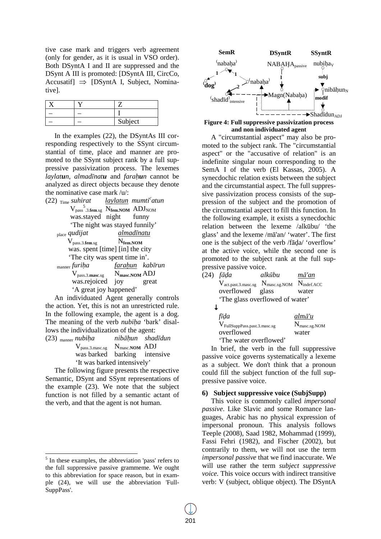tive case mark and triggers verb agreement (only for gender, as it is usual in VSO order). Both DSyntA I and II are suppressed and the DSynt A III is promoted: [DSyntA III, CircCo, Accusatif]  $\Rightarrow$  [DSyntA I, Subject, Nominative].

|  | Subject |
|--|---------|

In the examples (22), the DSyntAs III corresponding respectively to the SSynt circumstantial of time, place and manner are promoted to the SSynt subject rank by a full suppressive passivization process. The lexemes *laylatun*, *almadīnatu* and *farahun* cannot be analyzed as direct objects because they denote the nominative case mark /u/:

| (22) <sub>Time</sub> suhirat bolar il <u>aylatun</u> mumti <sup>c</sup> atun |
|------------------------------------------------------------------------------|
| $V_{pass}$ .3.fem.sg $N_{fem. NOM}$ ADJ <sub>NOM</sub>                       |
| was.stayed night funny                                                       |
| 'The night was stayed funnily'                                               |
| almadīnatu<br>place qudijat                                                  |
| $V_{pass.3.$ fem.sg $N_{\text{fem.}NOM}$                                     |
| was. spent [time] [in] the city                                              |
| The city was spent time in'.                                                 |
| <sub>manner</sub> furiha <u>farahun</u> kabīrun                              |
| $V_{pass.3 \text{.}massc.}$ $N_{\text{masc.}NOM}$ ADJ                        |
| was.rejoiced joy<br>great                                                    |
| 'A great joy happened'                                                       |

An individuated Agent generally controls the action. Yet, this is not an unrestricted rule. In the following example, the agent is a dog. The meaning of the verb *nubiha* 'bark' disallows the individualization of the agent:

| $(23)$ manner <i>nubiha</i>                                            | nibāhun shadīdun |  |
|------------------------------------------------------------------------|------------------|--|
| $V_{pass.3 \text{.} \text{masc.} \text{sg}}$ N <sub>masc.NOM</sub> ADJ |                  |  |
| was barked barking intensive                                           |                  |  |
| 'It was barked intensively'                                            |                  |  |

The following figure presents the respective Semantic, DSynt and SSynt representations of the example (23). We note that the subject function is not filled by a semantic actant of the verb, and that the agent is not human.

 $\overline{a}$ 



## **Figure 4: Full suppressive passivization process and non individuated agent**

A "circumstantial aspect" may also be promoted to the subject rank. The "circumstantial aspect" or the "accusative of relation" is an indefinite singular noun corresponding to the SemA I of the verb (El Kassas, 2005). A synecdochic relation exists between the subject and the circumstantial aspect. The full suppressive passivization process consists of the suppression of the subject and the promotion of the circumstantial aspect to fill this function. In the following example, it exists a synecdochic relation between the lexeme /alkūbu/ 'the glass' and the lexeme /mā'an/ 'water'. The first one is the subject of the verb /fāda/ 'overflow' at the active voice, while the second one is promoted to the subject rank at the full suppressive passive voice.

| (24) <i>fāda</i>                                                                 | alkūbu | mā'an          |
|----------------------------------------------------------------------------------|--------|----------------|
| $V_{\text{act,past.3,masc.sg}}$ $N_{\text{masc.sg. NOM}}$ $N_{\text{indef.ACC}}$ |        |                |
| overflowed glass                                                                 |        | water          |
| 'The glass overflowed of water'                                                  |        |                |
|                                                                                  |        |                |
| fīḍa                                                                             |        | $alm\bar{a}'u$ |

| Tua                                      | uinu u                    |
|------------------------------------------|---------------------------|
| $V_{\text{FullSuppPass.past.3.masc.sg}}$ | $N_{\text{masc.sg. NOM}}$ |
| overflowed                               | water                     |
| 'The water overflowed'                   |                           |

In brief, the verb in the full suppressive passive voice governs systematically a lexeme as a subject. We don't think that a pronoun could fill the subject function of the full suppressive passive voice.

#### **6) Subject suppressive voice (SubjSupp)**

This voice is commonly called *impersonal passive*. Like Slavic and some Romance languages, Arabic has no physical expression of impersonal pronoun. This analysis follows Teeple (2008), Saad 1982, Mohammad (1999), Fassi Fehri (1982), and Fischer (2002), but contrarily to them, we will not use the term *impersonal passive* that we find inaccurate. We will use rather the term *subject suppressive voice.* This voice occurs with indirect transitive verb: V (subject, oblique object). The DSyntA

<sup>&</sup>lt;sup>5</sup> In these examples, the abbreviation 'pass' refers to the full suppressive passive grammeme. We ought to this abbreviation for space reason, but in example (24), we will use the abbreviation 'Full-SuppPass'.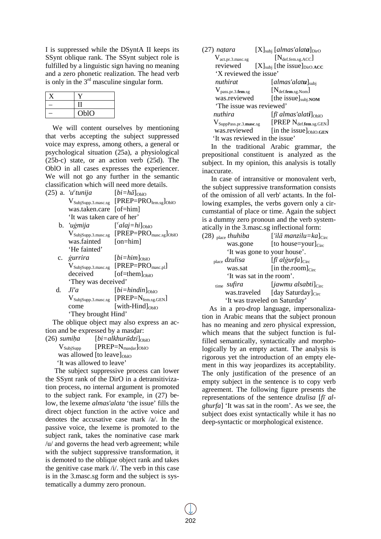I is suppressed while the DSyntA II keeps its SSynt oblique rank. The SSynt subject role is fulfilled by a linguistic sign having no meaning and a zero phonetic realization. The head verb is only in the  $3<sup>rd</sup>$  masculine singular form.

| OblO |
|------|

We will content ourselves by mentioning that verbs accepting the subject suppressed voice may express, among others, a general or psychological situation (25a), a physiological (25b-c) state, or an action verb (25d). The OblO in all cases expresses the experiencer. We will not go any further in the semantic classification which will need more details.

| $(25)$ a. 'u <sup>c</sup> tunija | $[b_i = h\bar{a}]_{\text{OblO}}$                                              |
|----------------------------------|-------------------------------------------------------------------------------|
|                                  | $V_{SubjSupp.3.\text{masc.sg}}$ [PREP=PRO <sub>fem.sg</sub> ] <sub>OblO</sub> |
| was.taken.care [of=him]          |                                                                               |
| 'It was taken care of her'       |                                                                               |

- b. *'uāmija* [*<sup>c</sup>*  $[alaj=hi]_{\text{Ob}I}$  $V_{SubjSupp.3.\text{masc.sg}}$  [PREP=PRO $_{\text{masc.sg}}$ ]OblO was.fainted [on=him] 'He fainted'
- **c.** *ġurrira*  $[bi=him]_{\text{OblO}}$  VSubjSupp.3.masc.sg [PREP=PROmasc.pl]  $decieved$   $[of=them]_{OMO}$ 'They was deceived'
- d.  $J\bar{i}'a$   $[bi=hindin]_{\text{OblQ}}$  $V_{SubjSupp.3.\text{masc.sg}}$  [PREP= $N_{\text{fem.sg.GEN}}$ ]  $comé$  [with-Hind] $<sub>ObIO</sub>$ </sub> 'They brought Hind'

The oblique object may also express an action and be expressed by a masdar:

 $(26)$  *sumiha*  $[bi=alkhuri\bar{a}zi]_{\text{OblO}}$  $V_{Subisump}$  [PREP= $N_{\text{masdar}}$ ]<sub>OblO</sub> was allowed  $[$ to leave $]$ <sub>OblO</sub> 'It was allowed to leave'

The subject suppressive process can lower the SSynt rank of the DirO in a detransitivization process, no internal argument is promoted to the subject rank. For example, in (27) below, the lexeme *almas'alata* 'the issue' fills the direct object function in the active voice and denotes the accusative case mark /a/. In the passive voice, the lexeme is promoted to the subject rank, takes the nominative case mark /u/ and governs the head verb agreement; while with the subject suppressive transformation, it is demoted to the oblique object rank and takes the genitive case mark /i/. The verb in this case is in the 3.masc.sg form and the subject is systematically a dummy zero pronoun.

| (27) natara                        | $[X]_{subi}$ [almas'alata] <sub>DirO</sub> |  |  |
|------------------------------------|--------------------------------------------|--|--|
| $V_{\text{act.pr.3,masc.sg}}$      | $[N_{\text{def.fem.sg. ACC}}]$             |  |  |
| reviewed                           | $[X]_{subi}$ [the issue] $_{DirOACC}$      |  |  |
| 'X reviewed the issue'             |                                            |  |  |
| nuthirat                           | [almas'alat <b>u</b> ] $_{subi}$           |  |  |
| $V_{pass, pr.3.$ fem.sg            | $[\mathrm{N}_{\text{def.fem.sg.}Nom}]$     |  |  |
| was.reviewed                       | [the issue] $subi. NOM$                    |  |  |
| The issue was reviewed'            |                                            |  |  |
| nuthira                            | [fī almas'alati] $_{\text{ObIO}}$          |  |  |
| $V_{SuppPass,pr.3.\text{masc.sg}}$ | [PREP Ndef.fem.sg.GEN]                     |  |  |
| was.reviewed                       | [in the issue] <sub>OblO.GEN</sub>         |  |  |
| 'It was reviewed in the issue'     |                                            |  |  |

In the traditional Arabic grammar, the prepositional constituent is analyzed as the subject. In my opinion, this analysis is totally inaccurate.

In case of intransitive or monovalent verb, the subject suppressive transformation consists of the omission of all verb' actants. In the following examples, the verbs govern only a circumstantial of place or time. Again the subject is a dummy zero pronoun and the verb systematically in the 3.masc.sg inflectional form:

| $(28)$ <sub>place</sub> thuhiba | ['ilā manzilu=ka] $_{\text{Circ}}$                                                                   |  |  |
|---------------------------------|------------------------------------------------------------------------------------------------------|--|--|
| was.gone                        | [to house=your] <sub>Circ</sub>                                                                      |  |  |
| 'It was gone to your house'.    |                                                                                                      |  |  |
| $_{place}$ dzulisa              | $[\text{f} \bar{\textit{t}} \textit{al} \textit{g} \textit{ur} \textit{f} \textit{a}]_{\text{Circ}}$ |  |  |
| was.sat                         | [in the.room] $_{\text{Circ}}$                                                                       |  |  |
| 'It was sat in the room'.       |                                                                                                      |  |  |
| time <i>sufira</i>              | $[iawmu$ alsabti $]_{\text{Circ}}$                                                                   |  |  |
| was.traveled                    | [day Saturday] <sub>Circ</sub>                                                                       |  |  |
| 'It was traveled on Saturday'   |                                                                                                      |  |  |

As in a pro-drop language, impersonalization in Arabic means that the subject pronoun has no meaning and zero physical expression, which means that the subject function is fulfilled semantically, syntactically and morphologically by an empty actant. The analysis is rigorous yet the introduction of an empty element in this way jeopardizes its acceptability. The only justification of the presence of an empty subject in the sentence is to copy verb agreement. The following figure presents the representations of the sentence *dzulisa* [*fī alghurfa*] 'It was sat in the room'. As we see, the subject does exist syntactically while it has no deep-syntactic or morphological existence.